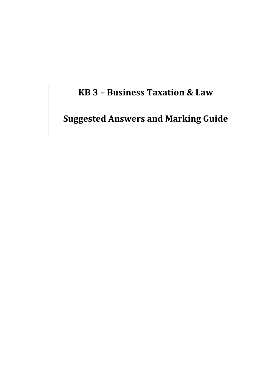# **KB 3 – Business Taxation & Law**

**Suggested Answers and Marking Guide**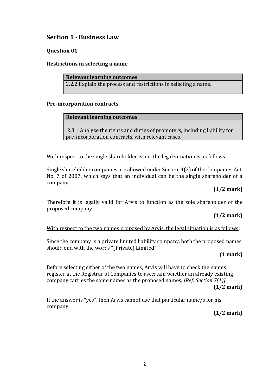# **Section 1 - Business Law**

## **Question 01**

#### **Restrictions in selecting a name**

#### **Relevant learning outcomes**

2.2.2 Explain the process and restrictions in selecting a name.

#### **Pre-incorporation contracts**

#### **Relevant learning outcomes**

2.3.1 Analyze the rights and duties of promoters, including liability for pre-incorporation contracts, with relevant cases.

#### With respect to the single shareholder issue, the legal situation is as follows:

Single shareholder companies are allowed under Section 4(2) of the Companies Act, No. 7 of 2007, which says that an individual can be the single shareholder of a company.

#### **(1/2 mark)**

Therefore it is legally valid for Arvis to function as the sole shareholder of the proposed company.

# **(1/2 mark)**

#### With respect to the two names proposed by Arvis, the legal situation is as follows:

Since the company is a private limited liability company, both the proposed names should end with the words "(Private) Limited".

#### **(1 mark)**

Before selecting either of the two names, Arvis will have to check the names register at the Registrar of Companies to ascertain whether an already existing company carries the same names as the proposed names. *[Ref: Section 7(1)].*

**(1/2 mark)**

If the answer is "yes", then Arvis cannot use that particular name/s for his company.

**(1/2 mark)**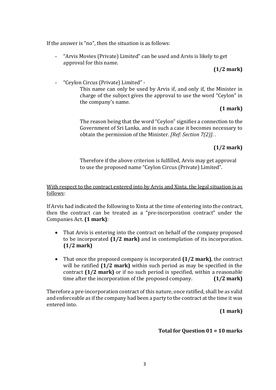If the answer is "no", then the situation is as follows:

"Arvis Movies (Private) Limited" can be used and Arvis is likely to get approval for this name.

#### **(1/2 mark)**

- "Ceylon Circus (Private) Limited" -

This name can only be used by Arvis if, and only if, the Minister in charge of the subject gives the approval to use the word "Ceylon" in the company's name.

#### **(1 mark)**

The reason being that the word "Ceylon" signifies a connection to the Government of Sri Lanka, and in such a case it becomes necessary to obtain the permission of the Minister. *[Ref: Section 7(2)].* .

# **(1/2 mark)**

Therefore if the above criterion is fulfilled, Arvis may get approval to use the proposed name "Ceylon Circus (Private) Limited".

#### With respect to the contract entered into by Arvis and Xinta, the legal situation is as follows:

If Arvis had indicated the following to Xinta at the time of entering into the contract, then the contract can be treated as a "pre-incorporation contract" under the Companies Act. **(1 mark)**:

- That Arvis is entering into the contract on behalf of the company proposed to be incorporated **(1/2 mark)** and in contemplation of its incorporation. **(1/2 mark)**
- That once the proposed company is incorporated **(1/2 mark)**, the contract will be ratified **(1/2 mark)** within such period as may be specified in the contract **(1/2 mark)** or if no such period is specified, within a reasonable time after the incorporation of the proposed company. **(1/2 mark)**

Therefore a pre-incorporation contract of this nature, once ratified, shall be as valid and enforceable as if the company had been a party to the contract at the time it was entered into.

#### **(1 mark)**

#### **Total for Question 01 = 10 marks**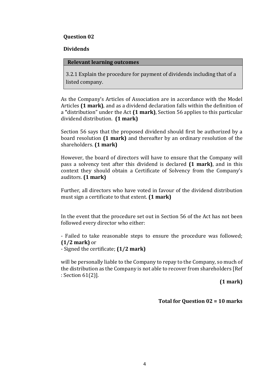#### **Dividends**

#### **Relevant learning outcomes**

3.2.1 Explain the procedure for payment of dividends including that of a listed company.

As the Company's Articles of Association are in accordance with the Model Articles **(1 mark)**, and as a dividend declaration falls within the definition of a **"**distribution" under the Act **(1 mark)**, Section 56 applies to this particular dividend distribution. **(1 mark)**

Section 56 says that the proposed dividend should first be authorized by a board resolution **(1 mark)** and thereafter by an ordinary resolution of the shareholders. **(1 mark)**

However, the board of directors will have to ensure that the Company will pass a solvency test after this dividend is declared **(1 mark)**, and in this context they should obtain a Certificate of Solvency from the Company's auditors. **(1 mark)**

Further, all directors who have voted in favour of the dividend distribution must sign a certificate to that extent. **(1 mark)**

In the event that the procedure set out in Section 56 of the Act has not been followed every director who either:

- Failed to take reasonable steps to ensure the procedure was followed; **(1/2 mark)** or

- Signed the certificate; **(1/2 mark)**

will be personally liable to the Company to repay to the Company, so much of the distribution as the Company is not able to recover from shareholders [Ref : Section 61(2)].

**(1 mark)** 

**Total for Question 02 = 10 marks**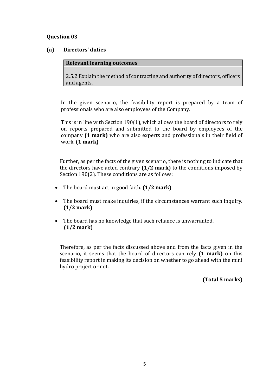#### **(a) Directors' duties**

#### **Relevant learning outcomes**

2.5.2 Explain the method of contracting and authority of directors, officers and agents.

In the given scenario, the feasibility report is prepared by a team of professionals who are also employees of the Company.

This is in line with Section 190(1), which allows the board of directors to rely on reports prepared and submitted to the board by employees of the company **(1 mark)** who are also experts and professionals in their field of work. **(1 mark)**

Further, as per the facts of the given scenario, there is nothing to indicate that the directors have acted contrary **(1/2 mark)** to the conditions imposed by Section 190(2). These conditions are as follows:

- The board must act in good faith. **(1/2 mark)**
- The board must make inquiries, if the circumstances warrant such inquiry. **(1/2 mark)**
- The board has no knowledge that such reliance is unwarranted.  **(1/2 mark)**

Therefore, as per the facts discussed above and from the facts given in the scenario, it seems that the board of directors can rely **(1 mark)** on this feasibility report in making its decision on whether to go ahead with the mini hydro project or not.

**(Total 5 marks)**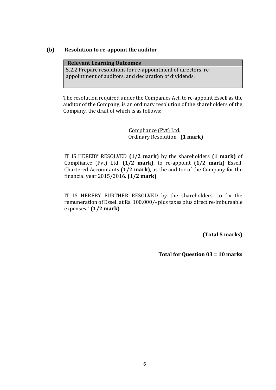#### **(b) Resolution to re-appoint the auditor**

| <b>Relevant Learning Outcomes</b>                              |
|----------------------------------------------------------------|
| 5.2.2 Prepare resolutions for re-appointment of directors, re- |
| appointment of auditors, and declaration of dividends.         |

The resolution required under the Companies Act, to re-appoint Essell as the auditor of the Company, is an ordinary resolution of the shareholders of the Company, the draft of which is as follows:

> Compliance (Pvt) Ltd. Ordinary Resolution **(1 mark)**

IT IS HEREBY RESOLVED **(1/2 mark)** by the shareholders **(1 mark)** of Compliance (Pvt) Ltd. **(1/2 mark)**, to re-appoint **(1/2 mark)** Essell, Chartered Accountants **(1/2 mark)**, as the auditor of the Company for the financial year 2015/2016. **(1/2 mark)**

IT IS HEREBY FURTHER RESOLVED by the shareholders, to fix the remuneration of Essell at Rs. 100,000/- plus taxes plus direct re-imbursable expenses." **(1/2 mark)**

**(Total 5 marks)**

**Total for Question 03 = 10 marks**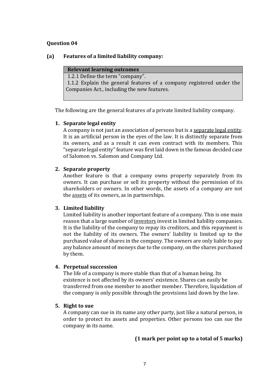#### **(a) Features of a limited liability company:**

1.2.1 Define the term "company".

1.1.2 Explain the general features of a company registered under the Companies Act., including the new features.

The following are the general features of a private limited liability company.

#### **1. Separate legal entity**

A company is not just an association of persons but is [a separate legal entity.](http://www.svtuition.org/2008/10/accounting-concept.html) It is an artificial person in the eyes of the law. It is distinctly separate from its owners, and as a result it can even contract with its members. This "separate legal entity" feature was first laid down in the famous decided case of Salomon vs. Salomon and Company Ltd.

#### **2. Separate property**

Another feature is that a company owns property separately from its owners. It can purchase or sell its property without the permission of its shareholders or owners. In other words, the assets of a company are not the [assets](http://www.svtuition.org/2010/02/assets.html) of its owners, as in partnerships.

#### **3. Limited liability**

Limited liability is another important feature of a company. This is one main reason that a large number of [investors](http://www.svtuition.org/2008/02/who-is-investor.html) invest in limited liability companies. It is the liability of the company to repay its creditors, and this repayment is not the liability of its owners. The owners' liability is limited up to the purchased value of shares in the company. The owners are only liable to pay any balance amount of moneys due to the company, on the shares purchased by them.

#### **4. Perpetual succession**

The life of a company is more stable than that of a human being. Its existence is not affected by its owners' existence. Shares can easily be transferred from one member to another member. Therefore, liquidation of the company is only possible through the provisions laid down by the law.

#### **5. Right to sue**

A company can sue in its name any other party, just like a natural person, in order to protect its assets and properties. Other persons too can sue the company in its name.

#### **(1 mark per point up to a total of 5 marks)**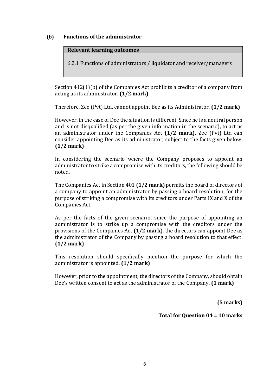#### **(b) Functions of the administrator**

#### **Relevant learning outcomes**

6.2.1 Functions of administrators / liquidator and receiver/managers

Section 412(1)(b) of the Companies Act prohibits a creditor of a company from acting as its administrator. **(1/2 mark)**

Therefore, Zee (Pvt) Ltd, cannot appoint Bee as its Administrator. **(1/2 mark)**

However, in the case of Dee the situation is different. Since he is a neutral person and is not disqualified (as per the given information in the scenario), to act as an administrator under the Companies Act **(1/2 mark),** Zee (Pvt) Ltd can consider appointing Dee as its administrator, subject to the facts given below. **(1/2 mark)**

In considering the scenario where the Company proposes to appoint an administrator to strike a compromise with its creditors, the following should be noted.

The Companies Act in Section 401 **(1/2 mark)** permits the board of directors of a company to appoint an administrator by passing a board resolution, for the purpose of striking a compromise with its creditors under Parts IX and X of the Companies Act.

As per the facts of the given scenario, since the purpose of appointing an administrator is to strike up a compromise with the creditors under the provisions of the Companies Act **(1/2 mark)**, the directors can appoint Dee as the administrator of the Company by passing a board resolution to that effect. **(1/2 mark)**

This resolution should specifically mention the purpose for which the administrator is appointed. **(1/2 mark)**

However, prior to the appointment, the directors of the Company, should obtain Dee's written consent to act as the administrator of the Company. **(1 mark)**

**(5 marks)**

**Total for Question 04 = 10 marks**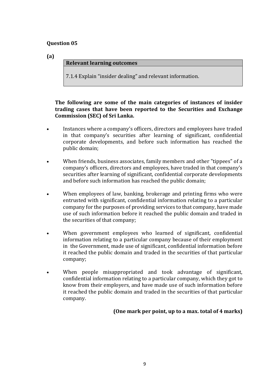**(a)** 

#### **Relevant learning outcomes**

7.1.4 Explain "insider dealing" and relevant information.

#### **The following are some of the main categories of instances of insider trading cases that have been reported to the Securities and Exchange Commission (SEC) of Sri Lanka.**

- Instances where a company's officers, directors and employees have traded in that company's securities after learning of significant, confidential corporate developments, and before such information has reached the public domain;
- When friends, business associates, family members and other "tippees" of a company's officers, directors and employees, have traded in that company's securities after learning of significant, confidential corporate developments and before such information has reached the public domain;
- When employees of law, banking, brokerage and printing firms who were entrusted with significant, confidential information relating to a particular company for the purposes of providing services to that company, have made use of such information before it reached the public domain and traded in the securities of that company;
- When government employees who learned of significant, confidential information relating to a particular company because of their employment in the Government, made use of significant, confidential information before it reached the public domain and traded in the securities of that particular company;
- When people misappropriated and took advantage of significant, confidential information relating to a particular company, which they got to know from their employers, and have made use of such information before it reached the public domain and traded in the securities of that particular company.

# **(One mark per point, up to a max. total of 4 marks)**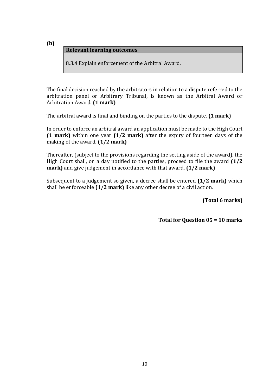**(b)** 

#### **Relevant learning outcomes**

8.3.4 Explain enforcement of the Arbitral Award.

The final decision reached by the arbitrators in relation to a dispute referred to the arbitration panel or Arbitrary Tribunal, is known as the Arbitral Award or Arbitration Award. **(1 mark)**

The arbitral award is final and binding on the parties to the dispute. **(1 mark)**

In order to enforce an arbitral award an application must be made to the High Court **(1 mark)** within one year **(1/2 mark)** after the expiry of fourteen days of the making of the award. **(1/2 mark)**

Thereafter, (subject to the provisions regarding the setting aside of the award), the High Court shall, on a day notified to the parties, proceed to file the award **(1/2 mark)** and give judgement in accordance with that award. **(1/2 mark)**

Subsequent to a judgement so given, a decree shall be entered **(1/2 mark)** which shall be enforceable **(1/2 mark)** like any other decree of a civil action.

**(Total 6 marks)**

**Total for Question 05 = 10 marks**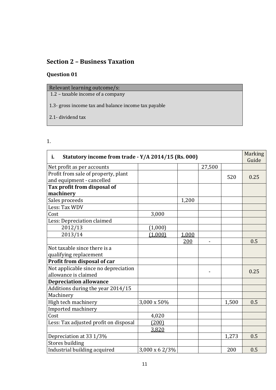# **Section 2 – Business Taxation**

# **Question 01**

| Relevant learning outcome/s:                         |
|------------------------------------------------------|
| 1.2 – taxable income of a company                    |
|                                                      |
| 1.3- gross income tax and balance income tax payable |
|                                                      |
| 2.1- dividend tax                                    |
|                                                      |

# 1.

| Statutory income from trade - Y/A 2014/15 (Rs. 000)<br>i.        |                |       |        |       | <b>Marking</b><br>Guide |
|------------------------------------------------------------------|----------------|-------|--------|-------|-------------------------|
| Net profit as per accounts                                       |                |       | 27,500 |       |                         |
| Profit from sale of property, plant<br>and equipment - cancelled |                |       |        | 520   | 0.25                    |
| Tax profit from disposal of                                      |                |       |        |       |                         |
| machinery                                                        |                |       |        |       |                         |
| Sales proceeds                                                   |                | 1,200 |        |       |                         |
| Less: Tax WDV                                                    |                |       |        |       |                         |
| Cost                                                             | 3,000          |       |        |       |                         |
| Less: Depreciation claimed                                       |                |       |        |       |                         |
| 2012/13                                                          | (1,000)        |       |        |       |                         |
| 2013/14                                                          | (1,000)        | 1,000 |        |       |                         |
|                                                                  |                | 200   | -      |       | 0.5                     |
| Not taxable since there is a                                     |                |       |        |       |                         |
| qualifying replacement                                           |                |       |        |       |                         |
| Profit from disposal of car                                      |                |       |        |       |                         |
| Not applicable since no depreciation                             |                |       |        |       | 0.25                    |
| allowance is claimed                                             |                |       |        |       |                         |
| <b>Depreciation allowance</b>                                    |                |       |        |       |                         |
| Additions during the year 2014/15                                |                |       |        |       |                         |
| Machinery                                                        |                |       |        |       |                         |
| High tech machinery                                              | 3,000 x 50%    |       |        | 1,500 | 0.5                     |
| Imported machinery                                               |                |       |        |       |                         |
| Cost                                                             | 4,020          |       |        |       |                         |
| Less: Tax adjusted profit on disposal                            | (200)          |       |        |       |                         |
|                                                                  | 3,820          |       |        |       |                         |
| Depreciation at 33 1/3%                                          |                |       |        | 1,273 | 0.5                     |
| <b>Stores building</b>                                           |                |       |        |       |                         |
| Industrial building acquired                                     | 3,000 x 6 2/3% |       |        | 200   | 0.5                     |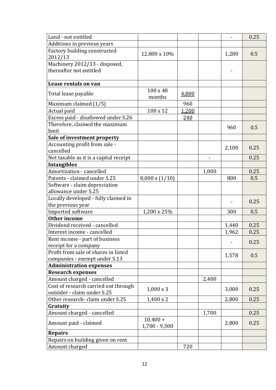| Land - not entitled                        |                               |       |       | $\overline{a}$ | 0.25 |
|--------------------------------------------|-------------------------------|-------|-------|----------------|------|
| Additions in previous years                |                               |       |       |                |      |
| Factory building constructed<br>2012/13    | 12,800 x 10%                  |       |       | 1,280          | 0.5  |
| Machinery 2012/13 - disposed,              |                               |       |       |                |      |
| thereafter not entitled                    |                               |       |       | -              |      |
| Lease rentals on van                       |                               |       |       |                |      |
| Total lease payable                        | 100 x 48<br>months            | 4,800 |       |                |      |
| Maximum claimed (1/5)                      |                               | 960   |       |                |      |
| Actual paid                                | 100 x 12                      | 1,200 |       |                |      |
| Excess paid - disallowed under S.26        |                               | 240   |       |                |      |
| Therefore, claimed the maximum             |                               |       |       | 960            | 0.5  |
| limit                                      |                               |       |       |                |      |
| Sale of investment property                |                               |       |       |                |      |
| Accounting profit from sale -<br>cancelled |                               |       |       | 2,100          | 0.25 |
| Not taxable as it is a capital receipt     |                               |       |       |                | 0.25 |
| <b>Intangibles</b>                         |                               |       |       |                |      |
| Amortization - cancelled                   |                               |       | 1,000 |                | 0.25 |
| Patents - claimed under S.25               | $8,000 \times (1/10)$         |       |       | 800            | 0.5  |
| Software - claim depreciation              |                               |       |       |                |      |
| allowance under S.25                       |                               |       |       |                |      |
| Locally developed - fully claimed in       |                               |       |       |                | 0.25 |
| the previous year<br>Imported software     | 1,200 x 25%                   |       |       | 300            | 0.5  |
| <b>Other income</b>                        |                               |       |       |                |      |
| Dividend received - cancelled              |                               |       |       | 1,440          | 0.25 |
| Interest income - cancelled                |                               |       |       | 1,962          | 0.25 |
| Rent income - part of business             |                               |       |       |                |      |
| receipt for a company                      |                               |       |       |                | 0.25 |
| Profit from sale of shares in listed       |                               |       |       |                |      |
| companies - exempt under S.13              |                               |       |       | 1,578          | 0.5  |
| <b>Administration expenses</b>             |                               |       |       |                |      |
| <b>Research expenses</b>                   |                               |       |       |                |      |
| Amount charged - cancelled                 |                               |       | 2,400 |                |      |
| Cost of research carried out through       | $1,000 \times 3$              |       |       | 3,000          | 0.25 |
| outsider - claim under S.25                |                               |       |       |                |      |
| Other research- claim under S.25           | $1,400 \times 2$              |       |       | 2,800          | 0.25 |
| Gratuity                                   |                               |       |       |                |      |
| Amount charged - cancelled                 |                               |       | 1,700 |                | 0.25 |
| Amount paid - claimed                      | $10,400 +$<br>$1,700 - 9,300$ |       |       | 2,800          | 0.25 |
| <b>Repairs</b>                             |                               |       |       |                |      |
| Repairs on building given on rent          |                               |       |       |                |      |
| Amount charged                             |                               | 720   |       |                |      |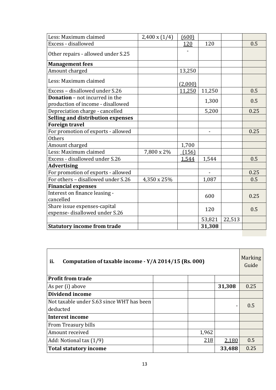| Less: Maximum claimed                                                      | $2,400 \times (1/4)$ | (600)      |        |        |      |
|----------------------------------------------------------------------------|----------------------|------------|--------|--------|------|
| Excess - disallowed                                                        |                      | <u>120</u> | 120    |        | 0.5  |
| Other repairs - allowed under S.25                                         |                      |            |        |        |      |
| <b>Management fees</b>                                                     |                      |            |        |        |      |
| Amount charged                                                             |                      | 13,250     |        |        |      |
| Less: Maximum claimed                                                      |                      | (2,000)    |        |        |      |
| Excess - disallowed under S.26                                             |                      | 11,250     | 11,250 |        | 0.5  |
| <b>Donation</b> – not incurred in the<br>production of income - disallowed |                      |            | 1,300  |        | 0.5  |
| Depreciation charge - cancelled                                            |                      |            | 5,200  |        | 0.25 |
| <b>Selling and distribution expenses</b>                                   |                      |            |        |        |      |
| <b>Foreign travel</b>                                                      |                      |            |        |        |      |
| For promotion of exports - allowed                                         |                      |            |        |        | 0.25 |
| <b>Others</b>                                                              |                      |            |        |        |      |
| Amount charged                                                             |                      | 1,700      |        |        |      |
| Less: Maximum claimed                                                      | 7,800 x 2%           | (156)      |        |        |      |
| Excess - disallowed under S.26                                             |                      | 1,544      | 1,544  |        | 0.5  |
| <b>Advertising</b>                                                         |                      |            |        |        |      |
| For promotion of exports - allowed                                         |                      |            |        |        | 0.25 |
| For others - disallowed under S.26                                         | 4,350 x 25%          |            | 1,087  |        | 0.5  |
| <b>Financial expenses</b>                                                  |                      |            |        |        |      |
| Interest on finance leasing -<br>cancelled                                 |                      |            | 600    |        | 0.25 |
| Share issue expenses-capital<br>expense-disallowed under S.26              |                      |            | 120    |        | 0.5  |
|                                                                            |                      |            | 53,821 | 22,513 |      |
| <b>Statutory income from trade</b>                                         |                      |            | 31,308 |        |      |
|                                                                            |                      |            |        |        |      |

| ii.<br>Computation of taxable income - Y/A 2014/15 (Rs. 000) |       |        |      |  |
|--------------------------------------------------------------|-------|--------|------|--|
| <b>Profit from trade</b>                                     |       |        |      |  |
| As per (i) above                                             |       | 31,308 | 0.25 |  |
| Dividend income                                              |       |        |      |  |
| Not taxable under S.63 since WHT has been                    |       |        | 0.5  |  |
| deducted                                                     |       |        |      |  |
| <b>Interest income</b>                                       |       |        |      |  |
| From Treasury bills                                          |       |        |      |  |
| Amount received                                              | 1,962 |        |      |  |
| Add: Notional tax (1/9)                                      | 218   | 2,180  | 0.5  |  |
| <b>Total statutory income</b>                                |       | 33,488 | 0.25 |  |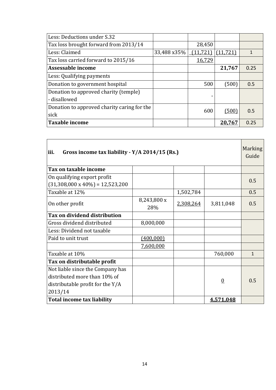| Less: Deductions under S.32                 |             |           |           |      |
|---------------------------------------------|-------------|-----------|-----------|------|
| Tax loss brought forward from 2013/14       |             | 28,450    |           |      |
| Less: Claimed                               | 33,488 x35% | (11, 721) | (11, 721) |      |
| Tax loss carried forward to 2015/16         |             | 16,729    |           |      |
| Assessable income                           |             |           | 21,767    | 0.25 |
| Less: Qualifying payments                   |             |           |           |      |
| Donation to government hospital             |             | 500       | (500)     | 0.5  |
| Donation to approved charity (temple)       |             |           |           |      |
| - disallowed                                |             |           |           |      |
| Donation to approved charity caring for the |             | 600       | (500)     | 0.5  |
| sick                                        |             |           |           |      |
| Taxable income                              |             |           | 20,767    | 0.25 |

| iii.<br>Gross income tax liability - Y/A 2014/15 (Rs.) |                    |           |                |              |
|--------------------------------------------------------|--------------------|-----------|----------------|--------------|
| Tax on taxable income                                  |                    |           |                |              |
| On qualifying export profit                            |                    |           |                | 0.5          |
| $(31,308,000 \times 40\%) = 12,523,200$                |                    |           |                |              |
| Taxable at 12%                                         |                    | 1,502,784 |                | 0.5          |
| On other profit                                        | 8,243,800 x<br>28% | 2,308,264 | 3,811,048      | 0.5          |
| Tax on dividend distribution                           |                    |           |                |              |
| Gross dividend distributed                             | 8,000,000          |           |                |              |
| Less: Dividend not taxable                             |                    |           |                |              |
| Paid to unit trust                                     | (400,000)          |           |                |              |
|                                                        | 7,600,000          |           |                |              |
| Taxable at 10%                                         |                    |           | 760,000        | $\mathbf{1}$ |
| Tax on distributable profit                            |                    |           |                |              |
| Not liable since the Company has                       |                    |           |                |              |
| distributed more than 10% of                           |                    |           | $\overline{0}$ | 0.5          |
| distributable profit for the Y/A                       |                    |           |                |              |
| 2013/14                                                |                    |           |                |              |
| <b>Total income tax liability</b>                      |                    |           | 4,571,048      |              |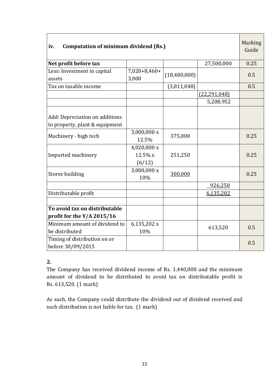| <b>Computation of minimum dividend (Rs.)</b><br>iv.              |                                  |              |                | <b>Marking</b><br>Guide |
|------------------------------------------------------------------|----------------------------------|--------------|----------------|-------------------------|
| Net profit before tax                                            |                                  |              | 27,500,000     | 0.25                    |
| Less: Investment in capital<br>assets                            | $7,020+8,460+$<br>3,000          | (18,480,000) |                | 0.5                     |
| Tax on taxable income                                            |                                  | (3,811,048)  |                | 0.5                     |
|                                                                  |                                  |              | (22, 291, 048) |                         |
|                                                                  |                                  |              | 5,208,952      |                         |
| Add: Depreciation on additions<br>to property, plant & equipment |                                  |              |                |                         |
| Machinery - high tech                                            | 3,000,000 x<br>12.5%             | 375,000      |                | 0.25                    |
| Imported machinery                                               | 4,020,000 x<br>12.5% x<br>(6/12) | 251,250      |                | 0.25                    |
| <b>Stores building</b>                                           | 3,000,000 x<br>10%               | 300,000      |                | 0.25                    |
|                                                                  |                                  |              | 926,250        |                         |
| Distributable profit                                             |                                  |              | 6,135,202      |                         |
| To avoid tax on distributable<br>profit for the $Y/A$ 2015/16    |                                  |              |                |                         |
| Minimum amount of dividend to<br>be distributed                  | 6,135,202 x<br>10%               |              | 613,520        | 0.5                     |
| Timing of distribution on or<br>before 30/09/2015                |                                  |              |                | 0.5                     |

# **2.**

The Company has received dividend income of Rs. 1,440,000 and the minimum amount of dividend to be distributed to avoid tax on distributable profit is Rs. 613,520. (1 mark)

As such, the Company could distribute the dividend out of dividend received and such distribution is not liable for tax. (1 mark)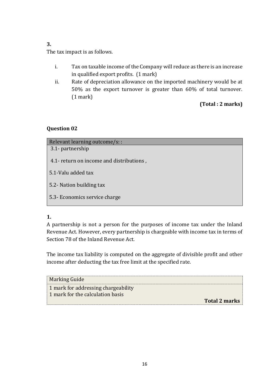# **3.**

The tax impact is as follows.

- i. Tax on taxable income of the Company will reduce as there is an increase in qualified export profits. (1 mark)
- ii. Rate of depreciation allowance on the imported machinery would be at 50% as the export turnover is greater than 60% of total turnover. (1 mark)

# **(Total : 2 marks)**

# **Question 02**

| Relevant learning outcome/s: :           |
|------------------------------------------|
| 3.1- partnership                         |
| 4.1- return on income and distributions, |
| 5.1-Valu added tax                       |
| 5.2- Nation building tax                 |
| 5.3- Economics service charge            |

# **1.**

A partnership is not a person for the purposes of income tax under the Inland Revenue Act. However, every partnership is chargeable with income tax in terms of Section 78 of the Inland Revenue Act.

The income tax liability is computed on the aggregate of divisible profit and other income after deducting the tax free limit at the specified rate.

| Marking Guide                                                                  |  |
|--------------------------------------------------------------------------------|--|
| $\mid$ 1 mark for addressing chargeability<br>1 mark for the calculation basis |  |
| <b>Total 2 marks</b>                                                           |  |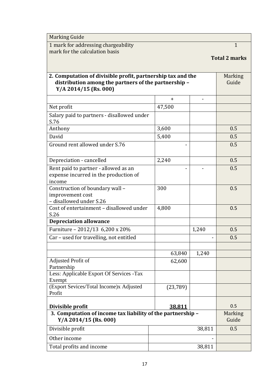| <b>Marking Guide</b>                                                                   |                         |        |                      |
|----------------------------------------------------------------------------------------|-------------------------|--------|----------------------|
| 1 mark for addressing chargeability                                                    |                         |        | $\mathbf{1}$         |
| mark for the calculation basis                                                         |                         |        |                      |
|                                                                                        |                         |        | <b>Total 2 marks</b> |
|                                                                                        |                         |        |                      |
| 2. Computation of divisible profit, partnership tax and the                            |                         |        | <b>Marking</b>       |
| distribution among the partners of the partnership -                                   |                         |        | Guide                |
| $Y/A 2014/15$ (Rs. 000)                                                                |                         |        |                      |
|                                                                                        | $+$                     |        |                      |
| Net profit                                                                             | 47,500                  |        |                      |
| Salary paid to partners - disallowed under                                             |                         |        |                      |
| S.76                                                                                   |                         |        |                      |
| Anthony                                                                                | 3,600                   |        | 0.5                  |
| David                                                                                  | 5,400                   |        | 0.5                  |
| Ground rent allowed under S.76                                                         |                         |        | 0.5                  |
|                                                                                        |                         |        |                      |
| Depreciation - cancelled                                                               | 2,240                   |        | 0.5                  |
| Rent paid to partner - allowed as an                                                   |                         |        | 0.5                  |
| expense incurred in the production of                                                  |                         |        |                      |
| income                                                                                 |                         |        |                      |
| Construction of boundary wall -<br>improvement cost                                    | 300                     |        | 0.5                  |
| - disallowed under S.26                                                                |                         |        |                      |
| Cost of entertainment - disallowed under                                               | 4,800                   |        | 0.5                  |
| S.26                                                                                   |                         |        |                      |
| <b>Depreciation allowance</b>                                                          |                         |        |                      |
| Furniture - 2012/13 6,200 x 20%                                                        |                         | 1,240  | 0.5                  |
| Car - used for travelling, not entitled                                                |                         |        | 0.5                  |
|                                                                                        |                         |        |                      |
|                                                                                        | 63,840                  | 1,240  |                      |
| Adjusted Profit of                                                                     | 62,600                  |        |                      |
| Partnership                                                                            |                         |        |                      |
| Less: Applicable Export Of Services -Tax                                               |                         |        |                      |
| Exempt<br>(Export Sevices/Total Income)x Adjusted                                      | (23,789)                |        |                      |
| Profit                                                                                 |                         |        |                      |
|                                                                                        |                         |        |                      |
| Divisible profit                                                                       | 0.5                     |        |                      |
| 3. Computation of income tax liability of the partnership -<br>$Y/A 2014/15$ (Rs. 000) | <b>Marking</b><br>Guide |        |                      |
| Divisible profit                                                                       |                         | 38,811 | 0.5                  |
| Other income                                                                           |                         |        |                      |
| Total profits and income                                                               |                         | 38,811 |                      |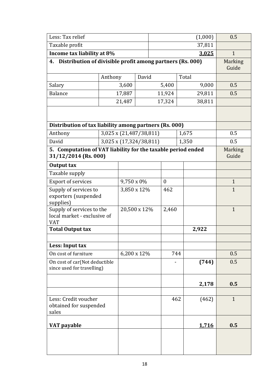| Less: Tax relief                                                                     |                         |                         |                                                              |                  |        |                  | (1,000) | 0.5                     |
|--------------------------------------------------------------------------------------|-------------------------|-------------------------|--------------------------------------------------------------|------------------|--------|------------------|---------|-------------------------|
| Taxable profit                                                                       |                         |                         | 37,811                                                       |                  |        |                  |         |                         |
| Income tax liability at 8%                                                           |                         |                         |                                                              | 3,025            |        |                  |         | $\mathbf{1}$            |
|                                                                                      |                         |                         | 4. Distribution of divisible profit among partners (Rs. 000) |                  |        |                  |         | <b>Marking</b><br>Guide |
|                                                                                      | Anthony                 |                         | David                                                        |                  |        | Total            |         |                         |
| Salary                                                                               |                         | 3,600                   |                                                              | 5,400            |        |                  | 9,000   | 0.5                     |
| <b>Balance</b>                                                                       |                         | 17,887                  |                                                              |                  | 11,924 |                  | 29,811  | 0.5                     |
|                                                                                      |                         | 21,487                  |                                                              |                  | 17,324 |                  | 38,811  |                         |
|                                                                                      |                         |                         |                                                              |                  |        |                  |         |                         |
| Distribution of tax liability among partners (Rs. 000)                               |                         |                         |                                                              |                  |        |                  |         |                         |
| Anthony                                                                              | 3,025 x (21,487/38,811) |                         |                                                              |                  | 1,675  |                  | 0.5     |                         |
| David                                                                                |                         | 3,025 x (17,324/38,811) |                                                              |                  |        | 1,350            |         | 0.5                     |
| 5. Computation of VAT liability for the taxable period ended<br>31/12/2014 (Rs. 000) |                         |                         |                                                              |                  |        | Marking<br>Guide |         |                         |
| Output tax                                                                           |                         |                         |                                                              |                  |        |                  |         |                         |
| Taxable supply                                                                       |                         |                         |                                                              |                  |        |                  |         |                         |
| <b>Export of services</b>                                                            |                         | 9,750 x 0%              |                                                              | $\boldsymbol{0}$ |        |                  |         | $\mathbf{1}$            |
| Supply of services to<br>exporters (suspended<br>supplies)                           |                         | 3,850 x 12%             |                                                              |                  | 462    |                  |         | $\mathbf{1}$            |
| Supply of services to the<br>local market - exclusive of<br><b>VAT</b>               |                         | 20,500 x 12%            |                                                              | 2,460            |        |                  |         | $\mathbf{1}$            |
| <b>Total Output tax</b>                                                              |                         |                         |                                                              |                  |        |                  | 2,922   |                         |
|                                                                                      |                         |                         |                                                              |                  |        |                  |         |                         |
| Less: Input tax                                                                      |                         |                         |                                                              |                  |        |                  |         |                         |
| On cost of furniture                                                                 |                         | 6,200 x 12%             |                                                              |                  | 744    |                  |         | 0.5                     |
| On cost of car(Not deductible<br>since used for travelling)                          |                         |                         |                                                              |                  |        |                  | (744)   | 0.5                     |
|                                                                                      |                         |                         |                                                              |                  |        |                  | 2,178   | 0.5                     |
| Less: Credit voucher<br>obtained for suspended<br>sales                              |                         |                         |                                                              |                  | 462    |                  | (462)   | $\mathbf{1}$            |
| VAT payable                                                                          |                         |                         |                                                              |                  |        |                  | 1,716   | 0.5                     |
|                                                                                      |                         |                         |                                                              |                  |        |                  |         |                         |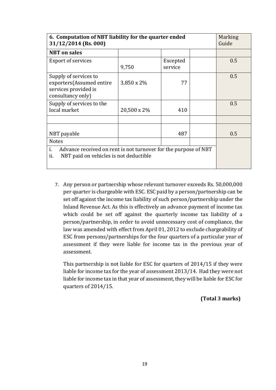| 6. Computation of NBT liability for the quarter ended<br>31/12/2014 (Rs. 000)                                          | <b>Marking</b><br>Guide |                     |  |     |
|------------------------------------------------------------------------------------------------------------------------|-------------------------|---------------------|--|-----|
| <b>NBT</b> on sales                                                                                                    |                         |                     |  |     |
| <b>Export of services</b>                                                                                              | 9,750                   | Excepted<br>service |  | 0.5 |
| Supply of services to<br>exporters(Assumed entire<br>services provided is<br>consultancy only)                         | 3,850 x 2%              | 77                  |  | 0.5 |
| Supply of services to the<br>local market                                                                              | 20,500 x 2%             | 410                 |  | 0.5 |
|                                                                                                                        |                         |                     |  |     |
| NBT payable                                                                                                            |                         | 487                 |  | 0.5 |
| <b>Notes</b>                                                                                                           |                         |                     |  |     |
| Advance received on rent is not turnover for the purpose of NBT<br>Ť.<br>NBT paid on vehicles is not deductible<br>ii. |                         |                     |  |     |

7. Any person or partnership whose relevant turnover exceeds Rs. 50,000,000 per quarter is chargeable with ESC. ESC paid by a person/partnership can be set off against the income tax liability of such person/partnership under the Inland Revenue Act. As this is effectively an advance payment of income tax which could be set off against the quarterly income tax liability of a person/partnership, in order to avoid unnecessary cost of compliance, the law was amended with effect from April 01, 2012 to exclude chargeability of ESC from persons/partnerships for the four quarters of a particular year of assessment if they were liable for income tax in the previous year of assessment.

This partnership is not liable for ESC for quarters of 2014/15 if they were liable for income tax for the year of assessment 2013/14. Had they were not liable for income tax in that year of assessment, they will be liable for ESC for quarters of 2014/15.

# **(Total 3 marks)**